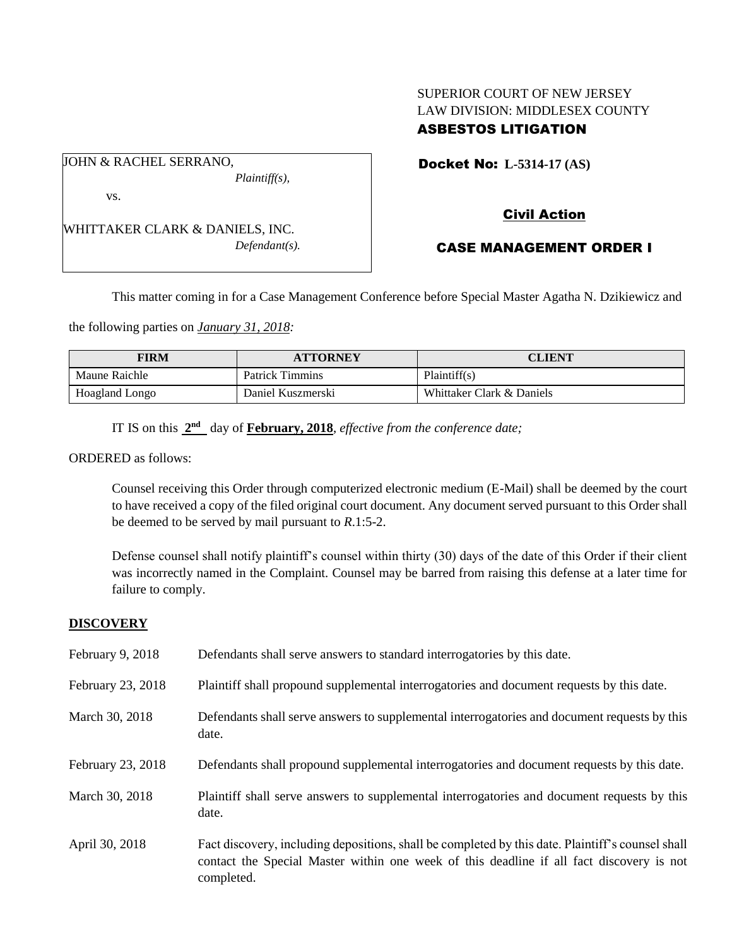# SUPERIOR COURT OF NEW JERSEY LAW DIVISION: MIDDLESEX COUNTY ASBESTOS LITIGATION

JOHN & RACHEL SERRANO, *Plaintiff(s),*

vs.

WHITTAKER CLARK & DANIELS, INC. *Defendant(s).* Docket No: **L-5314-17 (AS)** 

# Civil Action

# CASE MANAGEMENT ORDER I

This matter coming in for a Case Management Conference before Special Master Agatha N. Dzikiewicz and

the following parties on *January 31, 2018:*

| <b>FIRM</b>    | <b>ATTORNEY</b>   | <b>CLIENT</b>             |
|----------------|-------------------|---------------------------|
| Maune Raichle  | Patrick Timmins   | Plaintiff(s)              |
| Hoagland Longo | Daniel Kuszmerski | Whittaker Clark & Daniels |

IT IS on this  $2<sup>nd</sup>$  day of **February, 2018**, *effective from the conference date*;

ORDERED as follows:

Counsel receiving this Order through computerized electronic medium (E-Mail) shall be deemed by the court to have received a copy of the filed original court document. Any document served pursuant to this Order shall be deemed to be served by mail pursuant to *R*.1:5-2.

Defense counsel shall notify plaintiff's counsel within thirty (30) days of the date of this Order if their client was incorrectly named in the Complaint. Counsel may be barred from raising this defense at a later time for failure to comply.

# **DISCOVERY**

| February 9, 2018  | Defendants shall serve answers to standard interrogatories by this date.                                                                                                                                    |
|-------------------|-------------------------------------------------------------------------------------------------------------------------------------------------------------------------------------------------------------|
| February 23, 2018 | Plaintiff shall propound supplemental interrogatories and document requests by this date.                                                                                                                   |
| March 30, 2018    | Defendants shall serve answers to supplemental interrogatories and document requests by this<br>date.                                                                                                       |
| February 23, 2018 | Defendants shall propound supplemental interrogatories and document requests by this date.                                                                                                                  |
| March 30, 2018    | Plaintiff shall serve answers to supplemental interrogatories and document requests by this<br>date.                                                                                                        |
| April 30, 2018    | Fact discovery, including depositions, shall be completed by this date. Plaintiff's counsel shall<br>contact the Special Master within one week of this deadline if all fact discovery is not<br>completed. |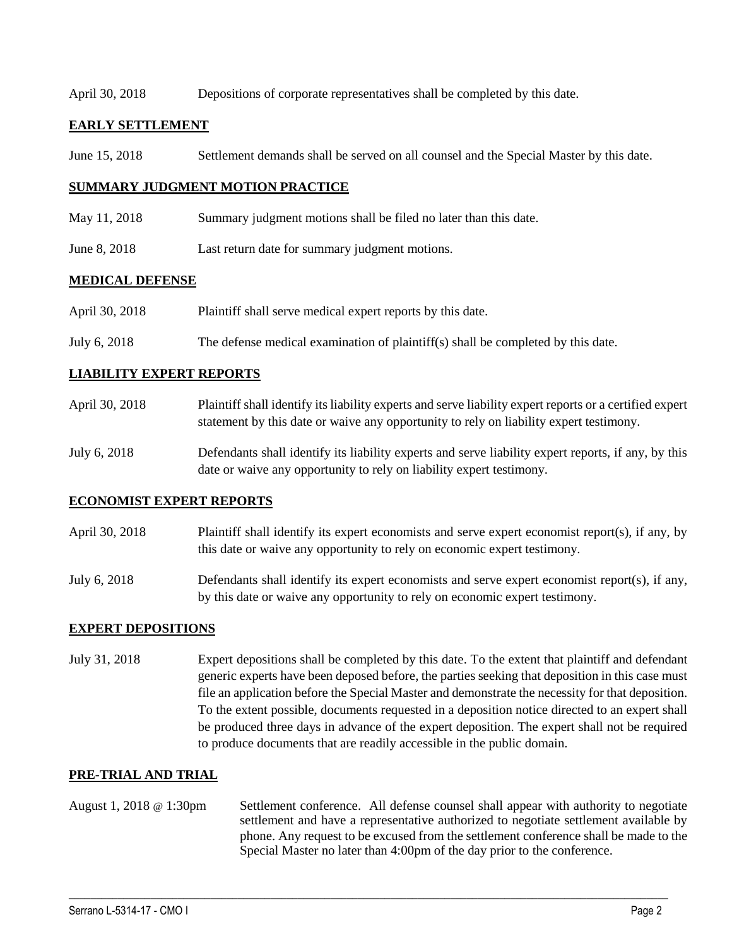### April 30, 2018 Depositions of corporate representatives shall be completed by this date.

### **EARLY SETTLEMENT**

June 15, 2018 Settlement demands shall be served on all counsel and the Special Master by this date.

### **SUMMARY JUDGMENT MOTION PRACTICE**

- May 11, 2018 Summary judgment motions shall be filed no later than this date.
- June 8, 2018 Last return date for summary judgment motions.

#### **MEDICAL DEFENSE**

| April 30, 2018 | Plaintiff shall serve medical expert reports by this date. |
|----------------|------------------------------------------------------------|
|                |                                                            |

July 6, 2018 The defense medical examination of plaintiff(s) shall be completed by this date.

# **LIABILITY EXPERT REPORTS**

| April 30, 2018 | Plaintiff shall identify its liability experts and serve liability expert reports or a certified expert |
|----------------|---------------------------------------------------------------------------------------------------------|
|                | statement by this date or waive any opportunity to rely on liability expert testimony.                  |
|                |                                                                                                         |

July 6, 2018 Defendants shall identify its liability experts and serve liability expert reports, if any, by this date or waive any opportunity to rely on liability expert testimony.

#### **ECONOMIST EXPERT REPORTS**

- April 30, 2018 Plaintiff shall identify its expert economists and serve expert economist report(s), if any, by this date or waive any opportunity to rely on economic expert testimony.
- July 6, 2018 Defendants shall identify its expert economists and serve expert economist report(s), if any, by this date or waive any opportunity to rely on economic expert testimony.

# **EXPERT DEPOSITIONS**

July 31, 2018 Expert depositions shall be completed by this date. To the extent that plaintiff and defendant generic experts have been deposed before, the parties seeking that deposition in this case must file an application before the Special Master and demonstrate the necessity for that deposition. To the extent possible, documents requested in a deposition notice directed to an expert shall be produced three days in advance of the expert deposition. The expert shall not be required to produce documents that are readily accessible in the public domain.

# **PRE-TRIAL AND TRIAL**

August 1, 2018 @ 1:30pm Settlement conference. All defense counsel shall appear with authority to negotiate settlement and have a representative authorized to negotiate settlement available by phone. Any request to be excused from the settlement conference shall be made to the Special Master no later than 4:00pm of the day prior to the conference.

 $\_$  ,  $\_$  ,  $\_$  ,  $\_$  ,  $\_$  ,  $\_$  ,  $\_$  ,  $\_$  ,  $\_$  ,  $\_$  ,  $\_$  ,  $\_$  ,  $\_$  ,  $\_$  ,  $\_$  ,  $\_$  ,  $\_$  ,  $\_$  ,  $\_$  ,  $\_$  ,  $\_$  ,  $\_$  ,  $\_$  ,  $\_$  ,  $\_$  ,  $\_$  ,  $\_$  ,  $\_$  ,  $\_$  ,  $\_$  ,  $\_$  ,  $\_$  ,  $\_$  ,  $\_$  ,  $\_$  ,  $\_$  ,  $\_$  ,